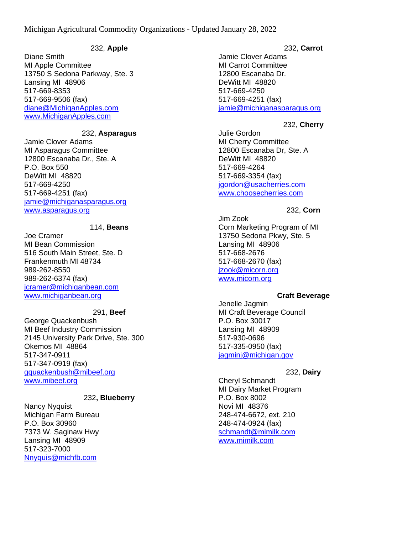## 232, **Apple**

Diane Smith MI Apple Committee 13750 S Sedona Parkway, Ste. 3 Lansing MI 48906 517-669-8353 517-669-9506 (fax) [diane@MichiganApples.com](mailto:diane@MichiganApples.com) [www.MichiganApples.com](http://www.michiganapples.com/)

## 232, **Asparagus**

Jamie Clover Adams MI Asparagus Committee 12800 Escanaba Dr., Ste. A P.O. Box 550 DeWitt MI 48820 517-669-4250 517-669-4251 (fax) [jamie@michiganasparagus.org](mailto:jamie@michiganasparagus.org) [www.asparagus.org](http://www.asparagus.org/)

#### 114, **Beans**

Joe Cramer MI Bean Commission 516 South Main Street, Ste. D Frankenmuth MI 48734 989-262-8550 989-262-6374 (fax) [jcramer@michiganbean.com](mailto:jcramer@michiganbean.com) [www.michiganbean.org](http://www.michiganbean.org/)

### 291, **Beef**

George Quackenbush MI Beef Industry Commission 2145 University Park Drive, Ste. 300 Okemos MI 48864 517-347-0911 517-347-0919 (fax) [gquackenbush@mibeef.org](mailto:gquackenbush@mibeef.org) [www.mibeef.org](http://www.mibeef.org/)

#### 232**, Blueberry**

Nancy Nyquist Michigan Farm Bureau P.O. Box 30960 7373 W. Saginaw Hwy Lansing MI 48909 517-323-7000 [Nnyquis@michfb.com](mailto:Nnyquis@michfb.com)

#### 232, **Carrot**

Jamie Clover Adams MI Carrot Committee 12800 Escanaba Dr. DeWitt MI 48820 517-669-4250 517-669-4251 (fax) [jamie@michiganasparagus.org](mailto:jamie@michiganasparagus.org)

### 232, **Cherry**

Julie Gordon MI Cherry Committee 12800 Escanaba Dr, Ste. A DeWitt MI 48820 517-669-4264 517-669-3354 (fax) [jgordon@usacherries.com](mailto:jgordon@usacherries.com) [www.choosecherries.com](http://www.choosecherries.com/)

#### 232, **Corn**

Jim Zook Corn Marketing Program of MI 13750 Sedona Pkwy, Ste. 5 Lansing MI 48906 517-668-2676 517-668-2670 (fax) [jzook@micorn.org](mailto:jzook@micorn.org) [www.micorn.org](http://www.micorn.org/)

#### **Craft Beverage**

Jenelle Jagmin MI Craft Beverage Council P.O. Box 30017 Lansing MI 48909 517-930-0696 517-335-0950 (fax) [jagminj@michigan.gov](mailto:jagminj@michigan.gov)

#### 232, **Dairy**

Cheryl Schmandt MI Dairy Market Program P.O. Box 8002 Novi MI 48376 248-474-6672, ext. 210 248-474-0924 (fax) [schmandt@mimilk.com](mailto:schmandt@mimilk.com) [www.mimilk.com](http://www.mimilk.com/)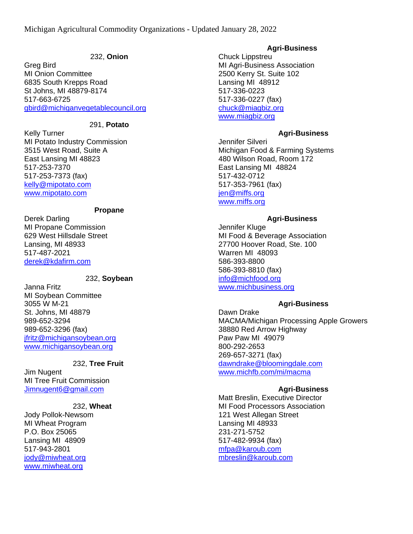## 232, **Onion**

Greg Bird MI Onion Committee 6835 South Krepps Road St Johns, MI 48879-8174 517-663-6725 [gbird@michiganvegetablecouncil.org](mailto:gbird@michiganvegetablecouncil.org)

## 291, **Potato**

Kelly Turner MI Potato Industry Commission 3515 West Road, Suite A East Lansing MI 48823 517-253-7370 517-253-7373 (fax) [kelly@mipotato.com](mailto:kelly@mipotato.com) [www.mipotato.com](http://www.mipotato.com/)

### **Propane**

Derek Darling MI Propane Commission 629 West Hillsdale Street Lansing, MI 48933 517-487-2021 [derek@kdafirm.com](mailto:derek@kdafirm.com)

# 232, **Soybean**

Janna Fritz MI Soybean Committee 3055 W M-21 St. Johns, MI 48879 989-652-3294 989-652-3296 (fax) [jfritz@michigansoybean.org](mailto:jfritz@michigansoybean.org) [www.michigansoybean.org](http://www.michigansoybean.org/)

## 232, **Tree Fruit**

Jim Nugent MI Tree Fruit Commission [Jimnugent6@gmail.com](mailto:Jimnugent6@gmail.com)

## 232, **Wheat**

Jody Pollok-Newsom MI Wheat Program P.O. Box 25065 Lansing MI 48909 517-943-2801 iody@miwheat.org [www.miwheat.org](http://www.miwheat.org/)

# **Agri-Business**

Chuck Lippstreu MI Agri-Business Association 2500 Kerry St. Suite 102 Lansing MI 48912 517-336-0223 517-336-0227 (fax) [chuck@miagbiz.org](mailto:chuck@miagbiz.org) [www.miagbiz.org](http://www.miagbiz.org/)

# **Agri-Business**

Jennifer Silveri Michigan Food & Farming Systems 480 Wilson Road, Room 172 East Lansing MI 48824 517-432-0712 517-353-7961 (fax) [jen@miffs.org](mailto:jen@miffs.org) [www.miffs.org](http://www.miffs.org/)

# **Agri-Business**

Jennifer Kluge MI Food & Beverage Association 27700 Hoover Road, Ste. 100 Warren MI 48093 586-393-8800 586-393-8810 (fax) [info@michfood.org](mailto:info@michfood.org) [www.michbusiness.org](http://www.michbusiness.org/)

# **Agri-Business**

Dawn Drake MACMA/Michigan Processing Apple Growers 38880 Red Arrow Highway Paw Paw MI 49079 800-292-2653 269-657-3271 (fax) [dawndrake@bloomingdale.com](mailto:dawndrake@bloomingdale.com) [www.michfb.com/mi/macma](http://www.michfb.com/mi/macma)

# **Agri-Business**

Matt Breslin, Executive Director MI Food Processors Association 121 West Allegan Street Lansing MI 48933 231-271-5752 517-482-9934 (fax) [mfpa@karoub.com](mailto:mfpa@karoub.com) [mbreslin@karoub.com](mailto:mbreslin@karoub.com)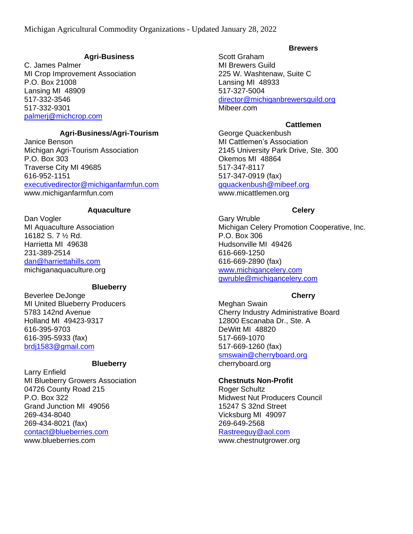### **Agri-Business**

C. James Palmer MI Crop Improvement Association P.O. Box 21008 Lansing MI 48909 517-332-3546 517-332-9301 [palmerj@michcrop.com](mailto:palmerj@michcrop.com)

# **Agri-Business/Agri-Tourism**

Janice Benson Michigan Agri-Tourism Association P.O. Box 303 Traverse City MI 49685 616-952-1151 [executivedirector@michiganfarmfun.com](mailto:executivedirector@michiganfarmfun.com) www.michiganfarmfun.com

#### **Aquaculture**

Dan Vogler MI Aquaculture Association 16182 S. 7 ½ Rd. Harrietta MI 49638 231-389-2514 [dan@harriettahills.com](mailto:dan@harriettahills.com) michiganaquaculture.org

#### **Blueberry**

Beverlee DeJonge MI United Blueberry Producers 5783 142nd Avenue Holland MI 49423-9317 616-395-9703 616-395-5933 (fax) [brdj1583@gmail.com](mailto:brdj1583@gmail.com)

# **Blueberry**

Larry Enfield MI Blueberry Growers Association 04726 County Road 215 P.O. Box 322 Grand Junction MI 49056 269-434-8040 269-434-8021 (fax) [contact@blueberries.com](mailto:contact@blueberries.com) www.blueberries.com

#### **Brewers**

Scott Graham MI Brewers Guild 225 W. Washtenaw, Suite C Lansing MI 48933 517-327-5004 [director@michiganbrewersguild.org](mailto:director@michiganbrewersguild.org) Mibeer.com

## **Cattlemen**

George Quackenbush MI Cattlemen's Association 2145 University Park Drive, Ste. 300 Okemos MI 48864 517-347-8117 517-347-0919 (fax) [gquackenbush@mibeef.org](mailto:gquackenbush@mibeef.org) www.micattlemen.org

### **Celery**

Gary Wruble Michigan Celery Promotion Cooperative, Inc. P.O. Box 306 Hudsonville MI 49426 616-669-1250 616-669-2890 (fax) [www.michigancelery.com](http://www.michigancelery.com/) [gwruble@michigancelery.com](mailto:gwruble@michigancelery.com)

## **Cherry**

Meghan Swain Cherry Industry Administrative Board 12800 Escanaba Dr., Ste. A DeWitt MI 48820 517-669-1070 517-669-1260 (fax) [smswain@cherryboard.org](mailto:smswain@cherryboard.org) cherryboard.org

## **Chestnuts Non-Profit**

Roger Schultz Midwest Nut Producers Council 15247 S 32nd Street Vicksburg MI 49097 269-649-2568 [Rastreeguy@aol.com](mailto:Rastreeguy@aol.com) www.chestnutgrower.org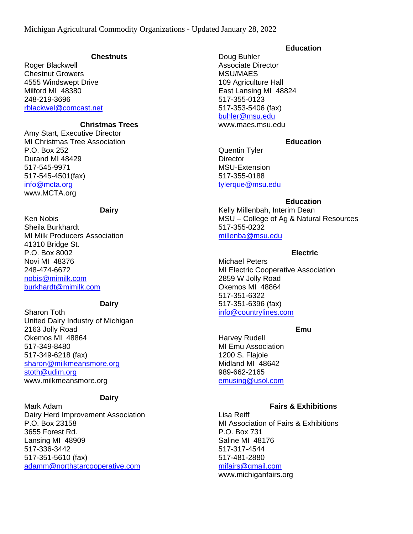#### **Chestnuts**

Roger Blackwell Chestnut Growers 4555 Windswept Drive Milford MI 48380 248-219-3696 [rblackwel@comcast.net](mailto:rblackwel@comcast.net)

#### **Christmas Trees**

Amy Start, Executive Director MI Christmas Tree Association P.O. Box 252 Durand MI 48429 517-545-9971 517-545-4501(fax) [info@mcta.org](mailto:info@mcta.org) www.MCTA.org

#### **Dairy**

Ken Nobis Sheila Burkhardt MI Milk Producers Association 41310 Bridge St. P.O. Box 8002 Novi MI 48376 248-474-6672 [nobis@mimilk.com](mailto:nobis@mimilk.com) [burkhardt@mimilk.com](mailto:burkhardt@mimilk.com)

#### **Dairy**

Sharon Toth United Dairy Industry of Michigan 2163 Jolly Road Okemos MI 48864 517-349-8480 517-349-6218 (fax) [sharon@milkmeansmore.org](mailto:sharon@milkmeansmore.org) [stoth@udim.org](mailto:stoth@udim.org) www.milkmeansmore.org

#### **Dairy**

Mark Adam Dairy Herd Improvement Association P.O. Box 23158 3655 Forest Rd. Lansing MI 48909 517-336-3442 517-351-5610 (fax) [adamm@northstarcooperative.com](mailto:adamm@northstarcooperative.com)

#### **Education**

Doug Buhler Associate Director MSU/MAES 109 Agriculture Hall East Lansing MI 48824 517-355-0123 517-353-5406 (fax) [buhler@msu.edu](mailto:buhler@msu.edu) www.maes.msu.edu

### **Education**

Quentin Tyler **Director** MSU-Extension 517-355-0188 [tylerque@msu.edu](mailto:tylerque@msu.edu)

## **Education**

Kelly Millenbah, Interim Dean MSU – College of Ag & Natural Resources 517-355-0232 [millenba@msu.edu](mailto:millenba@msu.edu)

### **Electric**

Michael Peters MI Electric Cooperative Association 2859 W Jolly Road Okemos MI 48864 517-351-6322 517-351-6396 (fax) [info@countrylines.com](mailto:info@countrylines.com)

# **Emu**

Harvey Rudell MI Emu Association 1200 S. Flajoie Midland MI 48642 989-662-2165 [emusing@usol.com](mailto:emusing@usol.com)

#### **Fairs & Exhibitions**

Lisa Reiff MI Association of Fairs & Exhibitions P.O. Box 731 Saline MI 48176 517-317-4544 517-481-2880 [mifairs@gmail.com](mailto:mifairs@gmail.com) www.michiganfairs.org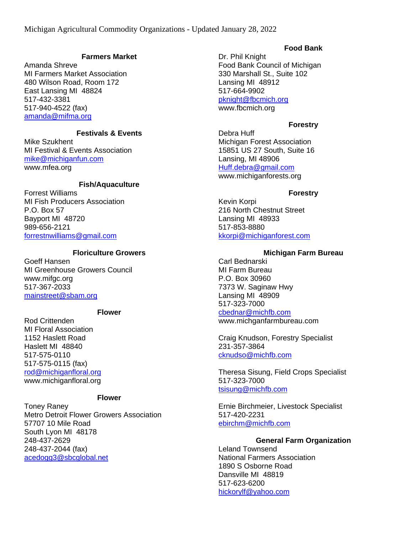## **Farmers Market**

Amanda Shreve MI Farmers Market Association 480 Wilson Road, Room 172 East Lansing MI 48824 517-432-3381 517-940-4522 (fax) [amanda@mifma.org](mailto:amanda@mifma.org)

# **Festivals & Events**

Mike Szukhent MI Festival & Events Association [mike@michiganfun.com](mailto:mike@michiganfun.com) www.mfea.org

# **Fish/Aquaculture**

Forrest Williams MI Fish Producers Association P.O. Box 57 Bayport MI 48720 989-656-2121 [forrestnwilliams@gmail.com](mailto:forrestnwilliams@gmail.com)

## **Floriculture Growers**

Goeff Hansen MI Greenhouse Growers Council www.mifgc.org 517-367-2033 [mainstreet@sbam.org](mailto:mainstreet@sbam.org)

## **Flower**

Rod Crittenden MI Floral Association 1152 Haslett Road Haslett MI 48840 517-575-0110 517-575-0115 (fax) [rod@michiganfloral.org](mailto:rod@michiganfloral.org) www.michiganfloral.org

#### **Flower**

Toney Raney Metro Detroit Flower Growers Association 57707 10 Mile Road South Lyon MI 48178 248-437-2629 248-437-2044 (fax) [acedogg3@sbcglobal.net](mailto:acedogg3@sbcglobal.net)

# **Food Bank**

Dr. Phil Knight Food Bank Council of Michigan 330 Marshall St., Suite 102 Lansing MI 48912 517-664-9902 [pknight@fbcmich.org](mailto:pknight@fbcmich.org) www.fbcmich.org

# **Forestry**

Debra Huff Michigan Forest Association 15851 US 27 South, Suite 16 Lansing, MI 48906 [Huff.debra@gmail.com](mailto:Huff.debra@gmail.com) www.michiganforests.org

### **Forestry**

Kevin Korpi 216 North Chestnut Street Lansing MI 48933 517-853-8880 [kkorpi@michiganforest.com](mailto:kkorpi@michiganforest.com)

# **Michigan Farm Bureau**

Carl Bednarski MI Farm Bureau P.O. Box 30960 7373 W. Saginaw Hwy Lansing MI 48909 517-323-7000 [cbednar@michfb.com](mailto:cbednar@michfb.com) www.michganfarmbureau.com

Craig Knudson, Forestry Specialist 231-357-3864 [cknudso@michfb.com](mailto:cknudso@michfb.com)

Theresa Sisung, Field Crops Specialist 517-323-7000 [tsisung@michfb.com](mailto:tsisung@michfb.com)

Ernie Birchmeier, Livestock Specialist 517-420-2231 [ebirchm@michfb.com](mailto:ebirchm@michfb.com)

## **General Farm Organization**

Leland Townsend National Farmers Association 1890 S Osborne Road Dansville MI 48819 517-623-6200 [hickorylf@yahoo.com](mailto:hickorylf@yahoo.com)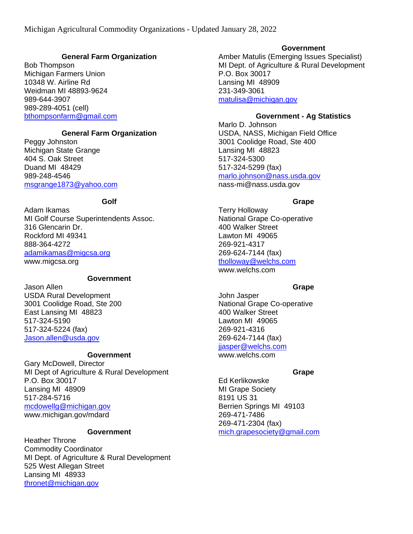## **General Farm Organization**

Bob Thompson Michigan Farmers Union 10348 W. Airline Rd Weidman MI 48893-9624 989-644-3907 989-289-4051 (cell) [bthompsonfarm@gmail.com](mailto:bthompsonfarm@gmail.com)

# **General Farm Organization**

Peggy Johnston Michigan State Grange 404 S. Oak Street Duand MI 48429 989-248-4546 [msgrange1873@yahoo.com](mailto:msgrange1873@yahoo.com)

### **Golf**

Adam Ikamas MI Golf Course Superintendents Assoc. 316 Glencarin Dr. Rockford MI 49341 888-364-4272 [adamikamas@migcsa.org](mailto:adamikamas@migcsa.org) www.migcsa.org

# **Government**

Jason Allen USDA Rural Development 3001 Coolidge Road, Ste 200 East Lansing MI 48823 517-324-5190 517-324-5224 (fax) [Jason.allen@usda.gov](mailto:Jason.allen@usda.gov)

#### **Government**

Gary McDowell, Director MI Dept of Agriculture & Rural Development P.O. Box 30017 Lansing MI 48909 517-284-5716 [mcdowellg@michigan.gov](mailto:mcdowellg@michigan.gov) www.michigan.gov/mdard

### **Government**

Heather Throne Commodity Coordinator MI Dept. of Agriculture & Rural Development 525 West Allegan Street Lansing MI 48933 [thronet@michigan.gov](mailto:thronet@michigan.gov)

# **Government**

Amber Matulis (Emerging Issues Specialist) MI Dept. of Agriculture & Rural Development P.O. Box 30017 Lansing MI 48909 231-349-3061 [matulisa@michigan.gov](mailto:matulisa@michigan.gov)

### **Government - Ag Statistics**

Marlo D. Johnson USDA, NASS, Michigan Field Office 3001 Coolidge Road, Ste 400 Lansing MI 48823 517-324-5300 517-324-5299 (fax) [marlo.johnson@nass.usda.gov](mailto:marlo.johnson@nass.usda.gov) nass-mi@nass.usda.gov

#### **Grape**

Terry Holloway National Grape Co-operative 400 Walker Street Lawton MI 49065 269-921-4317 269-624-7144 (fax) [tholloway@welchs.com](mailto:tholloway@welchs.com) www.welchs.com

#### **Grape**

John Jasper National Grape Co-operative 400 Walker Street Lawton MI 49065 269-921-4316 269-624-7144 (fax) ijasper@welchs.com www.welchs.com

## **Grape**

Ed Kerlikowske MI Grape Society 8191 US 31 Berrien Springs MI 49103 269-471-7486 269-471-2304 (fax) [mich.grapesociety@gmail.com](mailto:mich.grapesociety@gmail.com)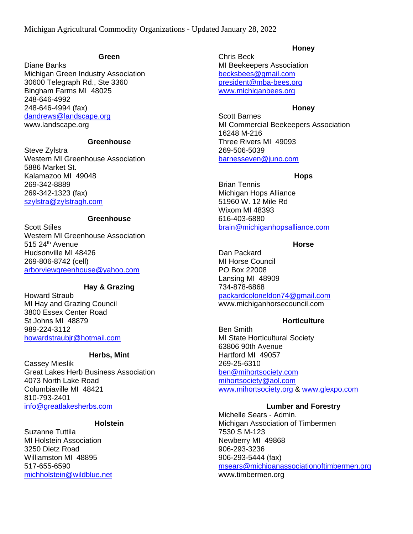#### **Green**

Diane Banks Michigan Green Industry Association 30600 Telegraph Rd., Ste 3360 Bingham Farms MI 48025 248-646-4992 248-646-4994 (fax) [dandrews@landscape.org](mailto:dandrews@landscape.org) www.landscape.org

# **Greenhouse**

Steve Zylstra Western MI Greenhouse Association 5886 Market St. Kalamazoo MI 49048 269-342-8889 269-342-1323 (fax) [szylstra@zylstragh.com](mailto:szylstra@zylstragh.com)

# **Greenhouse**

Scott Stiles Western MI Greenhouse Association 515 24th Avenue Hudsonville MI 48426 269-806-8742 (cell) [arborviewgreenhouse@yahoo.com](mailto:arborviewgreenhouse@yahoo.com)

## **Hay & Grazing**

Howard Straub MI Hay and Grazing Council 3800 Essex Center Road St Johns MI 48879 989-224-3112 [howardstraubjr@hotmail.com](mailto:howardstraubjr@hotmail.com)

#### **Herbs, Mint**

Cassey Mieslik Great Lakes Herb Business Association 4073 North Lake Road Columbiaville MI 48421 810-793-2401 [info@greatlakesherbs.com](mailto:info@greatlakesherbs.com)

## **Holstein**

Suzanne Tuttila MI Holstein Association 3250 Dietz Road Williamston MI 48895 517-655-6590 [michholstein@wildblue.net](mailto:michholstein@wildblue.net)

#### **Honey**

Chris Beck MI Beekeepers Association [becksbees@gmail.com](mailto:becksbees@gmail.com) [president@mba-bees.org](mailto:president@mba-bees.org) [www.michiganbees.org](http://www.michiganbees.org/)

#### **Honey**

Scott Barnes MI Commercial Beekeepers Association 16248 M-216 Three Rivers MI 49093 269-506-5039 [barnesseven@juno.com](mailto:barnesseven@juno.com)

#### **Hops**

Brian Tennis Michigan Hops Alliance 51960 W. 12 Mile Rd Wixom MI 48393 616-403-6880 [brain@michiganhopsalliance.com](mailto:brain@michiganhopsalliance.com)

### **Horse**

Dan Packard MI Horse Council PO Box 22008 Lansing MI 48909 734-878-6868 [packardcoloneldon74@gmail.com](mailto:packardcoloneldon74@gmail.com) www.michiganhorsecouncil.com

#### **Horticulture**

Ben Smith MI State Horticultural Society 63806 90th Avenue Hartford MI 49057 269-25-6310 [ben@mihortsociety.com](mailto:ben@mihortsociety.com) [mihortsociety@aol.com](mailto:mihortsociety@aol.com) [www.mihortsociety.org](http://www.mihortsociety.org/) & [www.glexpo.com](http://www.glexpo.com/)

#### **Lumber and Forestry**

Michelle Sears - Admin. Michigan Association of Timbermen 7530 S M-123 Newberry MI 49868 906-293-3236 906-293-5444 (fax) [msears@michiganassociationoftimbermen.org](mailto:msears@michiganassociationoftimbermen.org) www.timbermen.org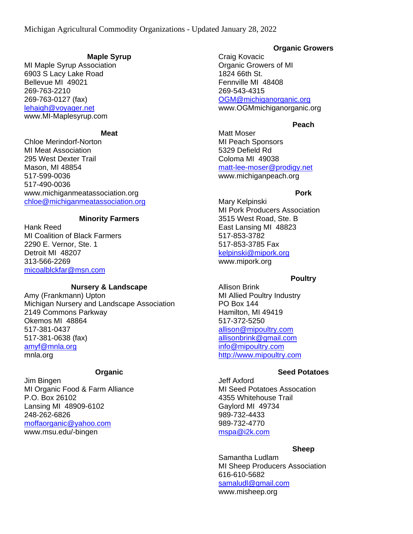### **Maple Syrup**

MI Maple Syrup Association 6903 S Lacy Lake Road Bellevue MI 49021 269-763-2210 269-763-0127 (fax) [lehaigh@voyager.net](mailto:lehaigh@voyager.net) www.MI-Maplesyrup.com

### **Meat**

Chloe Merindorf-Norton MI Meat Association 295 West Dexter Trail Mason, MI 48854 517-599-0036 517-490-0036 www.michiganmeatassociation.org [chloe@michiganmeatassociation.org](mailto:chloe@michiganmeatassociation.org)

### **Minority Farmers**

Hank Reed MI Coalition of Black Farmers 2290 E. Vernor, Ste. 1 Detroit MI 48207 313-566-2269 [micoalblckfar@msn.com](mailto:micoalblckfar@msn.com)

#### **Nursery & Landscape**

Amy (Frankmann) Upton Michigan Nursery and Landscape Association 2149 Commons Parkway Okemos MI 48864 517-381-0437 517-381-0638 (fax) [amyf@mnla.org](mailto:amyf@mnla.org) mnla.org

#### **Organic**

Jim Bingen MI Organic Food & Farm Alliance P.O. Box 26102 Lansing MI 48909-6102 248-262-6826 [moffaorganic@yahoo.com](mailto:moffaorganic@yahoo.com) www.msu.edu/-bingen

## **Organic Growers**

Craig Kovacic Organic Growers of MI 1824 66th St. Fennville MI 48408 269-543-4315 [OGM@michiganorganic.org](mailto:OGM@michiganorganic.org) www.OGMmichiganorganic.org

## **Peach**

Matt Moser MI Peach Sponsors 5329 Defield Rd Coloma MI 49038 [matt-lee-moser@prodigy.net](mailto:matt-lee-moser@prodigy.net) www.michiganpeach.org

### **Pork**

Mary Kelpinski MI Pork Producers Association 3515 West Road, Ste. B East Lansing MI 48823 517-853-3782 517-853-3785 Fax [kelpinski@mipork.org](mailto:kelpinski@mipork.org) www.mipork.org

## **Poultry**

Allison Brink MI Allied Poultry Industry PO Box 144 Hamilton, MI 49419 517-372-5250 [allison@mipoultry.com](mailto:allison@mipoultry.com) [allisonbrink@gmail.com](mailto:allisonbrink@gmail.com) [info@mipoultry.com](mailto:info@mipoultry.com) [http://www.mipoultry.com](http://www.mipoultry.com/)

## **Seed Potatoes**

Jeff Axford MI Seed Potatoes Assocation 4355 Whitehouse Trail Gaylord MI 49734 989-732-4433 989-732-4770 [mspa@i2k.com](mailto:mspa@i2k.com)

## **Sheep**

Samantha Ludlam MI Sheep Producers Association 616-610-5682 [samaludl@gmail.com](mailto:samaludl@gmail.com)

www.misheep.org